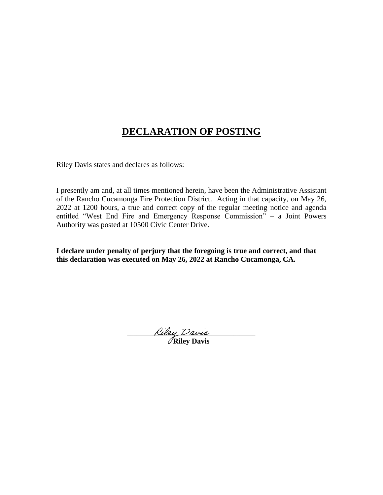# **DECLARATION OF POSTING**

Riley Davis states and declares as follows:

I presently am and, at all times mentioned herein, have been the Administrative Assistant of the Rancho Cucamonga Fire Protection District. Acting in that capacity, on May 26, 2022 at 1200 hours, a true and correct copy of the regular meeting notice and agenda entitled "West End Fire and Emergency Response Commission" – a Joint Powers Authority was posted at 10500 Civic Center Drive.

**I declare under penalty of perjury that the foregoing is true and correct, and that this declaration was executed on May 26, 2022 at Rancho Cucamonga, CA.**

**\_\_\_\_\_\_\_\_\_\_\_\_\_\_\_\_\_\_\_\_\_\_\_\_\_\_\_\_\_\_\_\_\_\_\_\_\_\_\_\_\_ Riley Davis**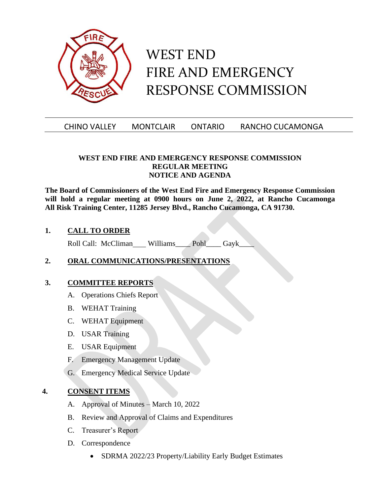

# WEST END FIRE AND EMERGENCY RESPONSE COMMISSION

### CHINO VALLEY MONTCLAIR ONTARIO RANCHO CUCAMONGA

#### **WEST END FIRE AND EMERGENCY RESPONSE COMMISSION REGULAR MEETING NOTICE AND AGENDA**

**The Board of Commissioners of the West End Fire and Emergency Response Commission will hold a regular meeting at 0900 hours on June 2, 2022, at Rancho Cucamonga All Risk Training Center, 11285 Jersey Blvd., Rancho Cucamonga, CA 91730.**

#### **1. CALL TO ORDER**

Roll Call: McCliman Williams Pohl Gayk

### **2. ORAL COMMUNICATIONS/PRESENTATIONS**

#### **3. COMMITTEE REPORTS**

- A. Operations Chiefs Report
- B. WEHAT Training
- C. WEHAT Equipment
- D. USAR Training
- E. USAR Equipment
- F. Emergency Management Update
- G. Emergency Medical Service Update

#### **4. CONSENT ITEMS**

- A. Approval of Minutes March 10, 2022
- B. Review and Approval of Claims and Expenditures
- C. Treasurer's Report
- D. Correspondence
	- SDRMA 2022/23 Property/Liability Early Budget Estimates